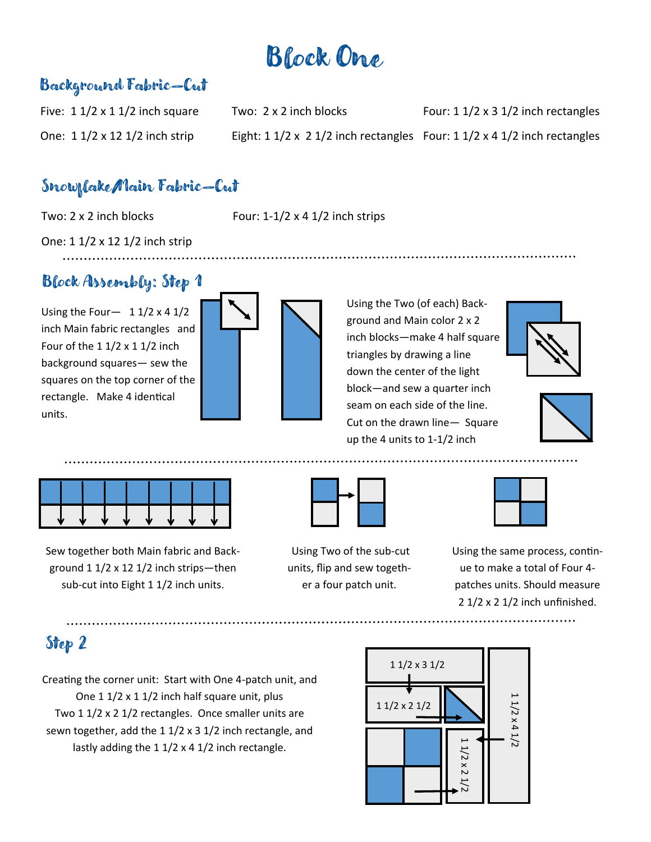# Block One

### Background Fabric—Cut

Five:  $1 \frac{1}{2} \times 1 \frac{1}{2}$  inch square Two:  $2 \times 2$  inch blocks Four:  $1 \frac{1}{2} \times 3 \frac{1}{2}$  inch rectangles One:  $1 \frac{1}{2} \times 12 \frac{1}{2}$  inch strip Eight:  $1 \frac{1}{2} \times 2 \frac{1}{2}$  inch rectangles Four:  $1 \frac{1}{2} \times 4 \frac{1}{2}$  inch rectangles

#### Snowflake/Main Fabric—Cut

Two:  $2 \times 2$  inch blocks Four:  $1-1/2 \times 4$  1/2 inch strips

One: 1 1/2 x 12 1/2 inch strip

## Block Assembly: Step 1

Using the Four- $11/2 \times 41/2$ inch Main fabric rectangles and Four of the  $11/2 \times 11/2$  inch background squares— sew the squares on the top corner of the rectangle. Make 4 identical units.



Using the Two (of each) Background and Main color 2 x 2 inch blocks—make 4 half square triangles by drawing a line down the center of the light block—and sew a quarter inch seam on each side of the line. Cut on the drawn line— Square up the 4 units to 1-1/2 inch







Sew together both Main fabric and Background 1 1/2 x 12 1/2 inch strips—then sub-cut into Eight 1 1/2 inch units.



Using Two of the sub-cut units, flip and sew together a four patch unit.

Using the same process, continue to make a total of Four 4 patches units. Should measure 2 1/2 x 2 1/2 inch unfinished.

## Step 2

Creating the corner unit: Start with One 4-patch unit, and One 1 1/2 x 1 1/2 inch half square unit, plus Two 1 1/2 x 2 1/2 rectangles. Once smaller units are sewn together, add the 1 1/2 x 3 1/2 inch rectangle, and lastly adding the 1 1/2 x 4 1/2 inch rectangle.